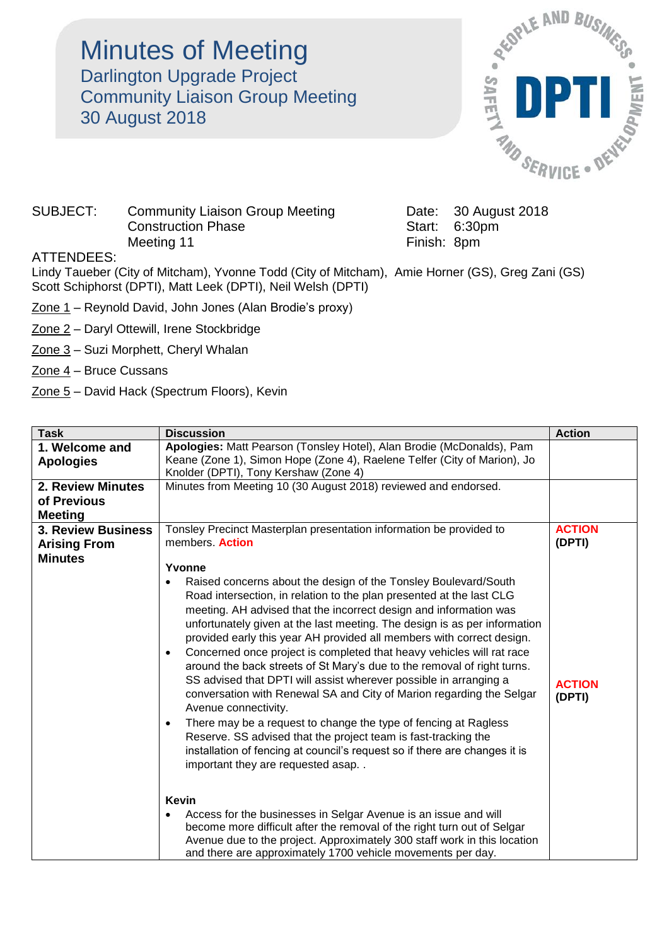Minutes of Meeting Darlington Upgrade Project Community Liaison Group Meeting 30 August 2018



## SUBJECT: Community Liaison Group Meeting Date: 30 August 2018 Construction Phase Start: 6:30pm Meeting 11 **Finish:** 8pm

## ATTENDEES:

Lindy Taueber (City of Mitcham), Yvonne Todd (City of Mitcham), Amie Horner (GS), Greg Zani (GS) Scott Schiphorst (DPTI), Matt Leek (DPTI), Neil Welsh (DPTI)

- Zone 1 Reynold David, John Jones (Alan Brodie's proxy)
- Zone 2 Daryl Ottewill, Irene Stockbridge
- Zone 3 Suzi Morphett, Cheryl Whalan
- Zone 4 Bruce Cussans
- Zone 5 David Hack (Spectrum Floors), Kevin

| <b>Task</b>                                                        | <b>Discussion</b>                                                                                                                                                                                                                                                                                                                                                                                                                                                                                                                                                                                                                                                                                                                                                                                                                                                                                                                                                                          | <b>Action</b>           |
|--------------------------------------------------------------------|--------------------------------------------------------------------------------------------------------------------------------------------------------------------------------------------------------------------------------------------------------------------------------------------------------------------------------------------------------------------------------------------------------------------------------------------------------------------------------------------------------------------------------------------------------------------------------------------------------------------------------------------------------------------------------------------------------------------------------------------------------------------------------------------------------------------------------------------------------------------------------------------------------------------------------------------------------------------------------------------|-------------------------|
| 1. Welcome and<br><b>Apologies</b>                                 | Apologies: Matt Pearson (Tonsley Hotel), Alan Brodie (McDonalds), Pam<br>Keane (Zone 1), Simon Hope (Zone 4), Raelene Telfer (City of Marion), Jo<br>Knolder (DPTI), Tony Kershaw (Zone 4)                                                                                                                                                                                                                                                                                                                                                                                                                                                                                                                                                                                                                                                                                                                                                                                                 |                         |
| <b>2. Review Minutes</b><br>of Previous<br><b>Meeting</b>          | Minutes from Meeting 10 (30 August 2018) reviewed and endorsed.                                                                                                                                                                                                                                                                                                                                                                                                                                                                                                                                                                                                                                                                                                                                                                                                                                                                                                                            |                         |
| <b>3. Review Business</b><br><b>Arising From</b><br><b>Minutes</b> | Tonsley Precinct Masterplan presentation information be provided to<br>members. <b>Action</b>                                                                                                                                                                                                                                                                                                                                                                                                                                                                                                                                                                                                                                                                                                                                                                                                                                                                                              | <b>ACTION</b><br>(DPTI) |
|                                                                    | Yvonne<br>Raised concerns about the design of the Tonsley Boulevard/South<br>Road intersection, in relation to the plan presented at the last CLG<br>meeting. AH advised that the incorrect design and information was<br>unfortunately given at the last meeting. The design is as per information<br>provided early this year AH provided all members with correct design.<br>Concerned once project is completed that heavy vehicles will rat race<br>$\bullet$<br>around the back streets of St Mary's due to the removal of right turns.<br>SS advised that DPTI will assist wherever possible in arranging a<br>conversation with Renewal SA and City of Marion regarding the Selgar<br>Avenue connectivity.<br>There may be a request to change the type of fencing at Ragless<br>$\bullet$<br>Reserve. SS advised that the project team is fast-tracking the<br>installation of fencing at council's request so if there are changes it is<br>important they are requested asap. . | <b>ACTION</b><br>(DPTI) |
|                                                                    | <b>Kevin</b><br>Access for the businesses in Selgar Avenue is an issue and will<br>become more difficult after the removal of the right turn out of Selgar<br>Avenue due to the project. Approximately 300 staff work in this location<br>and there are approximately 1700 vehicle movements per day.                                                                                                                                                                                                                                                                                                                                                                                                                                                                                                                                                                                                                                                                                      |                         |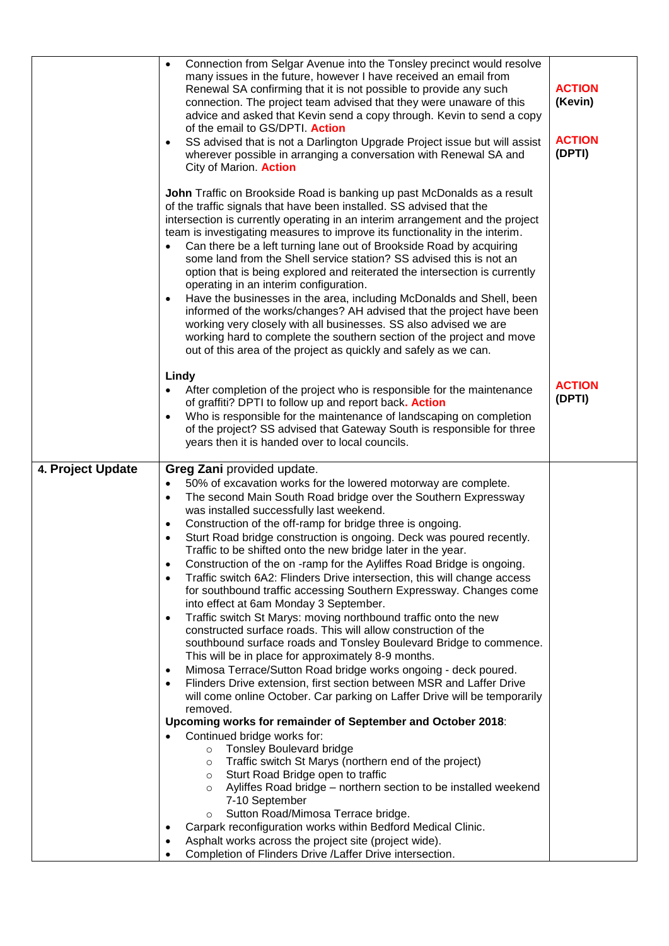|                   | Connection from Selgar Avenue into the Tonsley precinct would resolve<br>٠<br>many issues in the future, however I have received an email from<br>Renewal SA confirming that it is not possible to provide any such                                                                                                                                                                                                                                                                                                                                                                                                                                                                                                                                                                                                                                                                                                                                              | <b>ACTION</b>           |
|-------------------|------------------------------------------------------------------------------------------------------------------------------------------------------------------------------------------------------------------------------------------------------------------------------------------------------------------------------------------------------------------------------------------------------------------------------------------------------------------------------------------------------------------------------------------------------------------------------------------------------------------------------------------------------------------------------------------------------------------------------------------------------------------------------------------------------------------------------------------------------------------------------------------------------------------------------------------------------------------|-------------------------|
|                   | connection. The project team advised that they were unaware of this<br>advice and asked that Kevin send a copy through. Kevin to send a copy<br>of the email to GS/DPTI. Action                                                                                                                                                                                                                                                                                                                                                                                                                                                                                                                                                                                                                                                                                                                                                                                  | (Kevin)                 |
|                   | SS advised that is not a Darlington Upgrade Project issue but will assist                                                                                                                                                                                                                                                                                                                                                                                                                                                                                                                                                                                                                                                                                                                                                                                                                                                                                        | <b>ACTION</b>           |
|                   | wherever possible in arranging a conversation with Renewal SA and<br>City of Marion. Action                                                                                                                                                                                                                                                                                                                                                                                                                                                                                                                                                                                                                                                                                                                                                                                                                                                                      | (DPTI)                  |
|                   | John Traffic on Brookside Road is banking up past McDonalds as a result<br>of the traffic signals that have been installed. SS advised that the<br>intersection is currently operating in an interim arrangement and the project<br>team is investigating measures to improve its functionality in the interim.<br>Can there be a left turning lane out of Brookside Road by acquiring<br>٠<br>some land from the Shell service station? SS advised this is not an<br>option that is being explored and reiterated the intersection is currently<br>operating in an interim configuration.<br>Have the businesses in the area, including McDonalds and Shell, been<br>٠<br>informed of the works/changes? AH advised that the project have been<br>working very closely with all businesses. SS also advised we are<br>working hard to complete the southern section of the project and move<br>out of this area of the project as quickly and safely as we can. |                         |
|                   | Lindy                                                                                                                                                                                                                                                                                                                                                                                                                                                                                                                                                                                                                                                                                                                                                                                                                                                                                                                                                            |                         |
|                   | After completion of the project who is responsible for the maintenance<br>of graffiti? DPTI to follow up and report back. Action                                                                                                                                                                                                                                                                                                                                                                                                                                                                                                                                                                                                                                                                                                                                                                                                                                 | <b>ACTION</b><br>(DPTI) |
|                   | Who is responsible for the maintenance of landscaping on completion<br>of the project? SS advised that Gateway South is responsible for three<br>years then it is handed over to local councils.                                                                                                                                                                                                                                                                                                                                                                                                                                                                                                                                                                                                                                                                                                                                                                 |                         |
| 4. Project Update | Greg Zani provided update.                                                                                                                                                                                                                                                                                                                                                                                                                                                                                                                                                                                                                                                                                                                                                                                                                                                                                                                                       |                         |
|                   | 50% of excavation works for the lowered motorway are complete.<br>٠<br>The second Main South Road bridge over the Southern Expressway<br>$\bullet$                                                                                                                                                                                                                                                                                                                                                                                                                                                                                                                                                                                                                                                                                                                                                                                                               |                         |
|                   | was installed successfully last weekend.                                                                                                                                                                                                                                                                                                                                                                                                                                                                                                                                                                                                                                                                                                                                                                                                                                                                                                                         |                         |
|                   | Construction of the off-ramp for bridge three is ongoing.<br>٠<br>Sturt Road bridge construction is ongoing. Deck was poured recently.                                                                                                                                                                                                                                                                                                                                                                                                                                                                                                                                                                                                                                                                                                                                                                                                                           |                         |
|                   | Traffic to be shifted onto the new bridge later in the year.<br>Construction of the on-ramp for the Ayliffes Road Bridge is ongoing.<br>$\bullet$                                                                                                                                                                                                                                                                                                                                                                                                                                                                                                                                                                                                                                                                                                                                                                                                                |                         |
|                   | Traffic switch 6A2: Flinders Drive intersection, this will change access<br>$\bullet$                                                                                                                                                                                                                                                                                                                                                                                                                                                                                                                                                                                                                                                                                                                                                                                                                                                                            |                         |
|                   | for southbound traffic accessing Southern Expressway. Changes come<br>into effect at 6am Monday 3 September.                                                                                                                                                                                                                                                                                                                                                                                                                                                                                                                                                                                                                                                                                                                                                                                                                                                     |                         |
|                   | Traffic switch St Marys: moving northbound traffic onto the new<br>٠<br>constructed surface roads. This will allow construction of the                                                                                                                                                                                                                                                                                                                                                                                                                                                                                                                                                                                                                                                                                                                                                                                                                           |                         |
|                   | southbound surface roads and Tonsley Boulevard Bridge to commence.<br>This will be in place for approximately 8-9 months.                                                                                                                                                                                                                                                                                                                                                                                                                                                                                                                                                                                                                                                                                                                                                                                                                                        |                         |
|                   | Mimosa Terrace/Sutton Road bridge works ongoing - deck poured.<br>$\bullet$                                                                                                                                                                                                                                                                                                                                                                                                                                                                                                                                                                                                                                                                                                                                                                                                                                                                                      |                         |
|                   | Flinders Drive extension, first section between MSR and Laffer Drive<br>$\bullet$<br>will come online October. Car parking on Laffer Drive will be temporarily<br>removed.                                                                                                                                                                                                                                                                                                                                                                                                                                                                                                                                                                                                                                                                                                                                                                                       |                         |
|                   | Upcoming works for remainder of September and October 2018:                                                                                                                                                                                                                                                                                                                                                                                                                                                                                                                                                                                                                                                                                                                                                                                                                                                                                                      |                         |
|                   | Continued bridge works for:<br><b>Tonsley Boulevard bridge</b><br>$\circ$                                                                                                                                                                                                                                                                                                                                                                                                                                                                                                                                                                                                                                                                                                                                                                                                                                                                                        |                         |
|                   | Traffic switch St Marys (northern end of the project)<br>$\circ$<br>Sturt Road Bridge open to traffic                                                                                                                                                                                                                                                                                                                                                                                                                                                                                                                                                                                                                                                                                                                                                                                                                                                            |                         |
|                   | $\circ$<br>Ayliffes Road bridge - northern section to be installed weekend<br>$\circ$                                                                                                                                                                                                                                                                                                                                                                                                                                                                                                                                                                                                                                                                                                                                                                                                                                                                            |                         |
|                   | 7-10 September<br>Sutton Road/Mimosa Terrace bridge.<br>$\circ$                                                                                                                                                                                                                                                                                                                                                                                                                                                                                                                                                                                                                                                                                                                                                                                                                                                                                                  |                         |
|                   | Carpark reconfiguration works within Bedford Medical Clinic.                                                                                                                                                                                                                                                                                                                                                                                                                                                                                                                                                                                                                                                                                                                                                                                                                                                                                                     |                         |
|                   | Asphalt works across the project site (project wide).                                                                                                                                                                                                                                                                                                                                                                                                                                                                                                                                                                                                                                                                                                                                                                                                                                                                                                            |                         |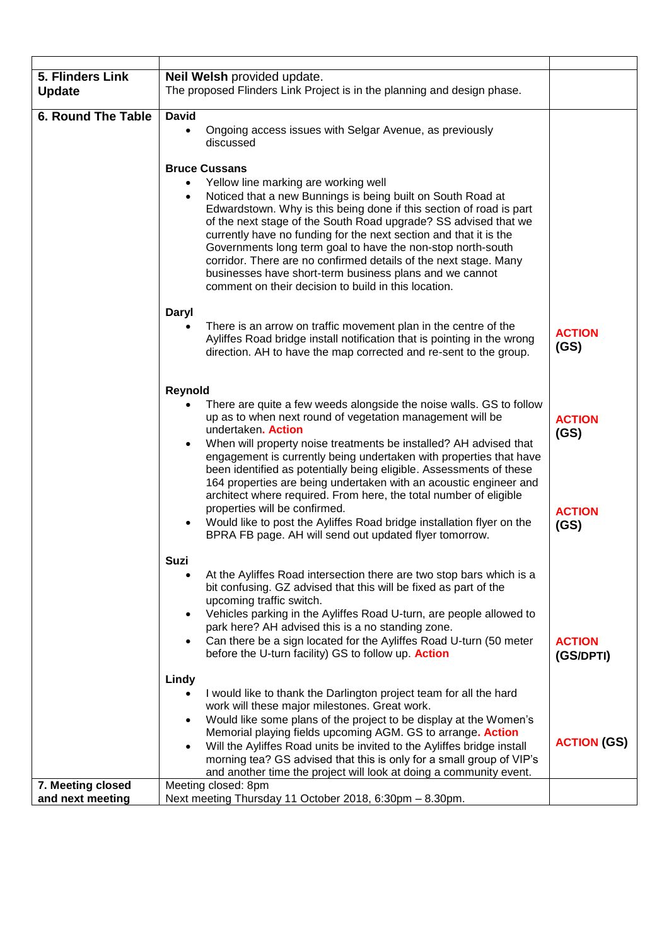| 5. Flinders Link<br><b>Update</b> | Neil Welsh provided update.<br>The proposed Flinders Link Project is in the planning and design phase.                                                                                                                                                                                                                                                                                                                                                                                                                                     |                       |
|-----------------------------------|--------------------------------------------------------------------------------------------------------------------------------------------------------------------------------------------------------------------------------------------------------------------------------------------------------------------------------------------------------------------------------------------------------------------------------------------------------------------------------------------------------------------------------------------|-----------------------|
| <b>6. Round The Table</b>         | <b>David</b>                                                                                                                                                                                                                                                                                                                                                                                                                                                                                                                               |                       |
|                                   | Ongoing access issues with Selgar Avenue, as previously<br>$\bullet$<br>discussed                                                                                                                                                                                                                                                                                                                                                                                                                                                          |                       |
|                                   | <b>Bruce Cussans</b>                                                                                                                                                                                                                                                                                                                                                                                                                                                                                                                       |                       |
|                                   | Yellow line marking are working well<br>$\bullet$<br>Noticed that a new Bunnings is being built on South Road at<br>$\bullet$<br>Edwardstown. Why is this being done if this section of road is part<br>of the next stage of the South Road upgrade? SS advised that we<br>currently have no funding for the next section and that it is the<br>Governments long term goal to have the non-stop north-south<br>corridor. There are no confirmed details of the next stage. Many<br>businesses have short-term business plans and we cannot |                       |
|                                   | comment on their decision to build in this location.                                                                                                                                                                                                                                                                                                                                                                                                                                                                                       |                       |
|                                   | Daryl<br>There is an arrow on traffic movement plan in the centre of the<br>$\bullet$<br>Ayliffes Road bridge install notification that is pointing in the wrong<br>direction. AH to have the map corrected and re-sent to the group.                                                                                                                                                                                                                                                                                                      | <b>ACTION</b><br>(GS) |
|                                   |                                                                                                                                                                                                                                                                                                                                                                                                                                                                                                                                            |                       |
|                                   | Reynold<br>There are quite a few weeds alongside the noise walls. GS to follow<br>$\bullet$<br>up as to when next round of vegetation management will be<br>undertaken. Action                                                                                                                                                                                                                                                                                                                                                             | <b>ACTION</b><br>(GS) |
|                                   | When will property noise treatments be installed? AH advised that<br>$\bullet$<br>engagement is currently being undertaken with properties that have<br>been identified as potentially being eligible. Assessments of these<br>164 properties are being undertaken with an acoustic engineer and<br>architect where required. From here, the total number of eligible<br>properties will be confirmed.                                                                                                                                     | <b>ACTION</b>         |
|                                   | Would like to post the Ayliffes Road bridge installation flyer on the<br>BPRA FB page. AH will send out updated flyer tomorrow.                                                                                                                                                                                                                                                                                                                                                                                                            | (GS)                  |
|                                   | <b>Suzi</b>                                                                                                                                                                                                                                                                                                                                                                                                                                                                                                                                |                       |
|                                   | At the Ayliffes Road intersection there are two stop bars which is a<br>$\bullet$<br>bit confusing. GZ advised that this will be fixed as part of the<br>upcoming traffic switch.                                                                                                                                                                                                                                                                                                                                                          |                       |
|                                   | Vehicles parking in the Ayliffes Road U-turn, are people allowed to<br>$\bullet$                                                                                                                                                                                                                                                                                                                                                                                                                                                           |                       |
|                                   | park here? AH advised this is a no standing zone.<br>Can there be a sign located for the Ayliffes Road U-turn (50 meter<br>$\bullet$                                                                                                                                                                                                                                                                                                                                                                                                       | <b>ACTION</b>         |
|                                   | before the U-turn facility) GS to follow up. Action                                                                                                                                                                                                                                                                                                                                                                                                                                                                                        | (GS/DPTI)             |
|                                   | Lindy                                                                                                                                                                                                                                                                                                                                                                                                                                                                                                                                      |                       |
|                                   | I would like to thank the Darlington project team for all the hard<br>٠                                                                                                                                                                                                                                                                                                                                                                                                                                                                    |                       |
|                                   | work will these major milestones. Great work.<br>Would like some plans of the project to be display at the Women's<br>$\bullet$                                                                                                                                                                                                                                                                                                                                                                                                            |                       |
|                                   | Memorial playing fields upcoming AGM. GS to arrange. Action                                                                                                                                                                                                                                                                                                                                                                                                                                                                                | <b>ACTION (GS)</b>    |
|                                   | Will the Ayliffes Road units be invited to the Ayliffes bridge install<br>$\bullet$<br>morning tea? GS advised that this is only for a small group of VIP's                                                                                                                                                                                                                                                                                                                                                                                |                       |
|                                   | and another time the project will look at doing a community event.                                                                                                                                                                                                                                                                                                                                                                                                                                                                         |                       |
| 7. Meeting closed                 | Meeting closed: 8pm                                                                                                                                                                                                                                                                                                                                                                                                                                                                                                                        |                       |
| and next meeting                  | Next meeting Thursday 11 October 2018, 6:30pm - 8.30pm.                                                                                                                                                                                                                                                                                                                                                                                                                                                                                    |                       |